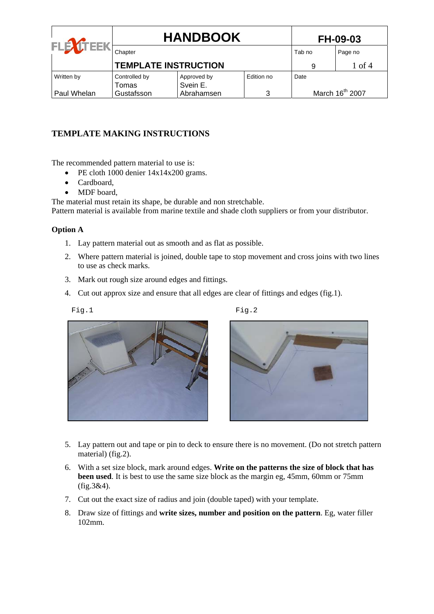| <b>ITEEK</b> | <b>HANDBOOK</b>             |             |            | <b>FH-09-03</b>             |         |  |
|--------------|-----------------------------|-------------|------------|-----------------------------|---------|--|
| <b>FLB</b>   | Chapter                     |             |            | Tab no                      | Page no |  |
|              | <b>TEMPLATE INSTRUCTION</b> | 9           | 1 of 4     |                             |         |  |
| Written by   | Controlled by               | Approved by | Edition no | Date                        |         |  |
|              | Tomas                       | Svein E.    |            |                             |         |  |
| Paul Whelan  | Gustafsson                  | Abrahamsen  | 3          | March 16 <sup>th</sup> 2007 |         |  |

## **TEMPLATE MAKING INSTRUCTIONS**

The recommended pattern material to use is:

- PE cloth 1000 denier  $14x14x200$  grams.
- Cardboard
- MDF board,

The material must retain its shape, be durable and non stretchable.

Pattern material is available from marine textile and shade cloth suppliers or from your distributor.

## **Option A**

- 1. Lay pattern material out as smooth and as flat as possible.
- 2. Where pattern material is joined, double tape to stop movement and cross joins with two lines to use as check marks.
- 3. Mark out rough size around edges and fittings.
- 4. Cut out approx size and ensure that all edges are clear of fittings and edges (fig.1).

Fig.1 Fig.2



- 5. Lay pattern out and tape or pin to deck to ensure there is no movement. (Do not stretch pattern material) (fig.2).
- 6. With a set size block, mark around edges. **Write on the patterns the size of block that has been used**. It is best to use the same size block as the margin eg, 45mm, 60mm or 75mm (fig.3&4).
- 7. Cut out the exact size of radius and join (double taped) with your template.
- 8. Draw size of fittings and **write sizes, number and position on the pattern**. Eg, water filler 102mm.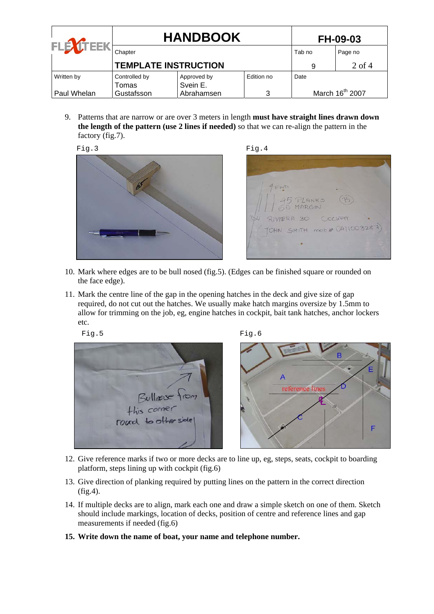| <b>ITEEK</b> | <b>HANDBOOK</b>             |             |            | <b>FH-09-03</b>             |          |
|--------------|-----------------------------|-------------|------------|-----------------------------|----------|
| FLE)         | Chapter                     |             |            | Tab no                      | Page no  |
|              | <b>TEMPLATE INSTRUCTION</b> |             |            | 9                           | $2$ of 4 |
| Written by   | Controlled by               | Approved by | Edition no | Date                        |          |
|              | Tomas                       | Svein E.    |            |                             |          |
| Paul Whelan  | Gustafsson                  | Abrahamsen  | 3          | March 16 <sup>th</sup> 2007 |          |

9. Patterns that are narrow or are over 3 meters in length **must have straight lines drawn down the length of the pattern (use 2 lines if needed)** so that we can re-align the pattern in the factory (fig.7).



15 PLANKS MARGIN RIVIERA 30 COCHEE TOHN SMITH mob# 0411003287)

- 10. Mark where edges are to be bull nosed (fig.5). (Edges can be finished square or rounded on the face edge).
- 11. Mark the centre line of the gap in the opening hatches in the deck and give size of gap required, do not cut out the hatches. We usually make hatch margins oversize by 1.5mm to allow for trimming on the job, eg, engine hatches in cockpit, bait tank hatches, anchor lockers etc.

Fig.5 Fig.6





- 12. Give reference marks if two or more decks are to line up, eg, steps, seats, cockpit to boarding platform, steps lining up with cockpit (fig.6)
- 13. Give direction of planking required by putting lines on the pattern in the correct direction (fig.4).
- 14. If multiple decks are to align, mark each one and draw a simple sketch on one of them. Sketch should include markings, location of decks, position of centre and reference lines and gap measurements if needed (fig.6)
- **15. Write down the name of boat, your name and telephone number.**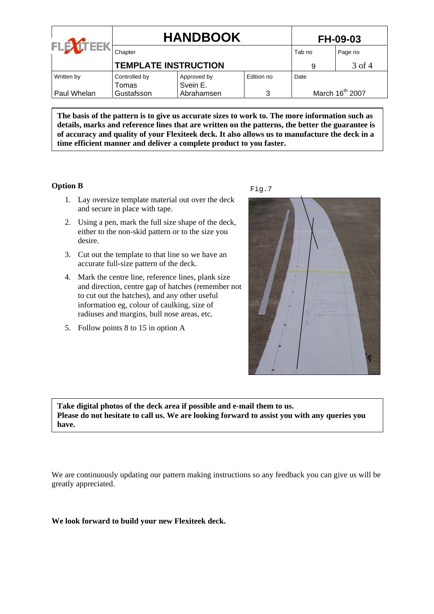|             | <b>HANDBOOK</b>             |             |            | <b>FH-09-03</b>             |         |  |
|-------------|-----------------------------|-------------|------------|-----------------------------|---------|--|
| FLE         | Chapter                     |             |            | Tab no                      | Page no |  |
|             | <b>TEMPLATE INSTRUCTION</b> |             |            | 9                           | 3 of 4  |  |
| Written by  | Controlled by               | Approved by | Edition no | Date                        |         |  |
|             | Tomas                       | Svein E.    |            |                             |         |  |
| Paul Whelan | Gustafsson                  | Abrahamsen  | 3          | March 16 <sup>th</sup> 2007 |         |  |

**The basis of the pattern is to give us accurate sizes to work to. The more information such as details, marks and reference lines that are written on the patterns, the better the guarantee is of accuracy and quality of your Flexiteek deck. It also allows us to manufacture the deck in a time efficient manner and deliver a complete product to you faster.** 

## **Option B**

- 1. Lay oversize template material out over the deck and secure in place with tape.
- 2. Using a pen, mark the full size shape of the deck, either to the non-skid pattern or to the size you desire.
- 3. Cut out the template to that line so we have an accurate full-size pattern of the deck.
- 4. Mark the centre line, reference lines, plank size and direction, centre gap of hatches (remember not to cut out the hatches), and any other useful information eg, colour of caulking, size of radiuses and margins, bull nose areas, etc.
- 5. Follow points 8 to 15 in option A





**Take digital photos of the deck area if possible and e-mail them to us. Please do not hesitate to call us. We are looking forward to assist you with any queries you have.** 

We are continuously updating our pattern making instructions so any feedback you can give us will be greatly appreciated.

**We look forward to build your new Flexiteek deck.**